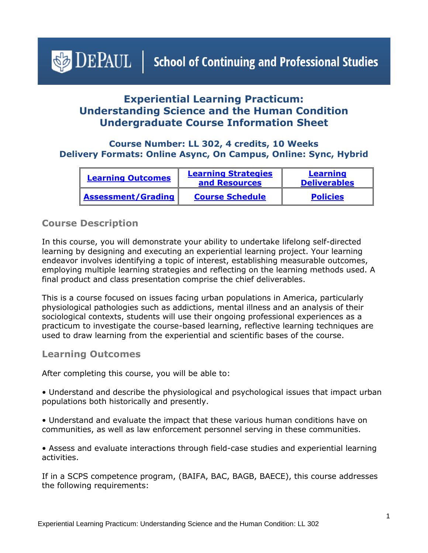# <span id="page-0-1"></span> $\triangle$  DEPAUL | School of Continuing and Professional Studies

# **Experiential Learning Practicum: Understanding Science and the Human Condition Undergraduate Course Information Sheet**

## **Course Number: LL 302, 4 credits, 10 Weeks Delivery Formats: Online Async, On Campus, Online: Sync, Hybrid**

| <b>Learning Outcomes</b>  | <b>Learning Strategies</b><br>and Resources | <b>Learning</b><br><b>Deliverables</b> |
|---------------------------|---------------------------------------------|----------------------------------------|
| <b>Assessment/Grading</b> | <b>Course Schedule</b>                      | <b>Policies</b>                        |

## **Course Description**

In this course, you will demonstrate your ability to undertake lifelong self-directed learning by designing and executing an experiential learning project. Your learning endeavor involves identifying a topic of interest, establishing measurable outcomes, employing multiple learning strategies and reflecting on the learning methods used. A final product and class presentation comprise the chief deliverables.

This is a course focused on issues facing urban populations in America, particularly physiological pathologies such as addictions, mental illness and an analysis of their sociological contexts, students will use their ongoing professional experiences as a practicum to investigate the course-based learning, reflective learning techniques are used to draw learning from the experiential and scientific bases of the course.

#### <span id="page-0-0"></span>**Learning Outcomes**

After completing this course, you will be able to:

• Understand and describe the physiological and psychological issues that impact urban populations both historically and presently.

• Understand and evaluate the impact that these various human conditions have on communities, as well as law enforcement personnel serving in these communities.

• Assess and evaluate interactions through field-case studies and experiential learning activities.

If in a SCPS competence program, (BAIFA, BAC, BAGB, BAECE), this course addresses the following requirements: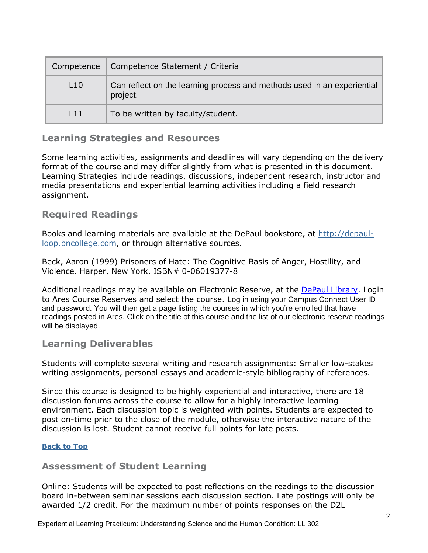| Competence | Competence Statement / Criteria                                                     |
|------------|-------------------------------------------------------------------------------------|
| L10        | Can reflect on the learning process and methods used in an experiential<br>project. |
| 111        | To be written by faculty/student.                                                   |

## <span id="page-1-0"></span>**Learning Strategies and Resources**

Some learning activities, assignments and deadlines will vary depending on the delivery format of the course and may differ slightly from what is presented in this document. Learning Strategies include readings, discussions, independent research, instructor and media presentations and experiential learning activities including a field research assignment.

# **Required Readings**

Books and learning materials are available at the DePaul bookstore, at [http://depaul](http://depaul-loop.bncollege.com/)[loop.bncollege.com,](http://depaul-loop.bncollege.com/) or through alternative sources.

Beck, Aaron (1999) Prisoners of Hate: The Cognitive Basis of Anger, Hostility, and Violence. Harper, New York. ISBN# 0-06019377-8

Additional readings may be available on Electronic Reserve, at the [DePaul Library.](https://library.depaul.edu/services/Pages/Course-Reserves-Services.aspx) Login to Ares Course Reserves and select the course. Log in using your Campus Connect User ID and password. You will then get a page listing the courses in which you're enrolled that have readings posted in Ares. Click on the title of this course and the list of our electronic reserve readings will be displayed.

## <span id="page-1-1"></span>**Learning Deliverables**

Students will complete several writing and research assignments: Smaller low-stakes writing assignments, personal essays and academic-style bibliography of references.

Since this course is designed to be highly experiential and interactive, there are 18 discussion forums across the course to allow for a highly interactive learning environment. Each discussion topic is weighted with points. Students are expected to post on-time prior to the close of the module, otherwise the interactive nature of the discussion is lost. Student cannot receive full points for late posts.

#### **[Back to Top](#page-0-1)**

#### <span id="page-1-2"></span>**Assessment of Student Learning**

Online: Students will be expected to post reflections on the readings to the discussion board in-between seminar sessions each discussion section. Late postings will only be awarded 1/2 credit. For the maximum number of points responses on the D2L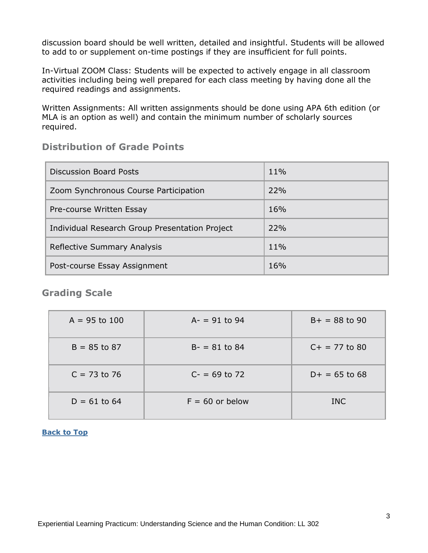discussion board should be well written, detailed and insightful. Students will be allowed to add to or supplement on-time postings if they are insufficient for full points.

In-Virtual ZOOM Class: Students will be expected to actively engage in all classroom activities including being well prepared for each class meeting by having done all the required readings and assignments.

Written Assignments: All written assignments should be done using APA 6th edition (or MLA is an option as well) and contain the minimum number of scholarly sources required.

# **Distribution of Grade Points**

| <b>Discussion Board Posts</b>                  | $11\%$ |
|------------------------------------------------|--------|
| Zoom Synchronous Course Participation          | 22%    |
| Pre-course Written Essay                       | 16%    |
| Individual Research Group Presentation Project | 22%    |
| Reflective Summary Analysis                    | $11\%$ |
| Post-course Essay Assignment                   | 16%    |

## **Grading Scale**

| $A = 95$ to 100 | $A - = 91$ to 94  | $B+ = 88$ to 90 |
|-----------------|-------------------|-----------------|
| $B = 85$ to 87  | $B - = 81$ to 84  | $C+ = 77$ to 80 |
| $C = 73$ to 76  | $C = 69$ to 72    | $D+ = 65$ to 68 |
| $D = 61$ to 64  | $F = 60$ or below | <b>INC</b>      |

#### **[Back to Top](#page-0-1)**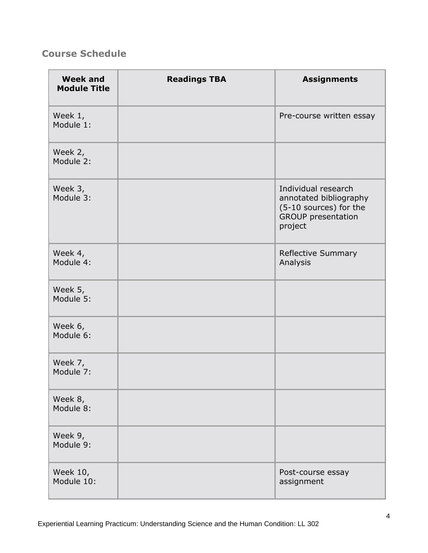# <span id="page-3-0"></span>**Course Schedule**

| <b>Week and</b><br><b>Module Title</b> | <b>Readings TBA</b> | <b>Assignments</b>                                                                                              |
|----------------------------------------|---------------------|-----------------------------------------------------------------------------------------------------------------|
| Week 1,<br>Module 1:                   |                     | Pre-course written essay                                                                                        |
| Week 2,<br>Module 2:                   |                     |                                                                                                                 |
| Week 3,<br>Module 3:                   |                     | Individual research<br>annotated bibliography<br>(5-10 sources) for the<br><b>GROUP presentation</b><br>project |
| Week 4,<br>Module 4:                   |                     | Reflective Summary<br>Analysis                                                                                  |
| Week 5,<br>Module 5:                   |                     |                                                                                                                 |
| Week 6,<br>Module 6:                   |                     |                                                                                                                 |
| Week 7,<br>Module 7:                   |                     |                                                                                                                 |
| Week 8,<br>Module 8:                   |                     |                                                                                                                 |
| Week 9,<br>Module 9:                   |                     |                                                                                                                 |
| Week 10,<br>Module 10:                 |                     | Post-course essay<br>assignment                                                                                 |